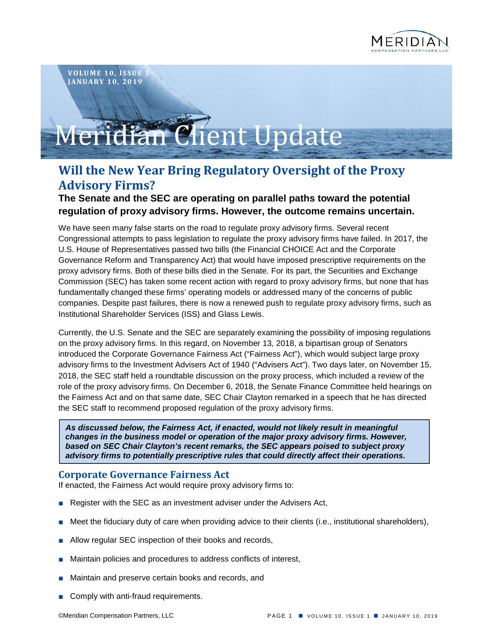

# **Client Update**

## **Will the New Year Bring Regulatory Oversight of the Proxy Advisory Firms?**

### **The Senate and the SEC are operating on parallel paths toward the potential regulation of proxy advisory firms. However, the outcome remains uncertain.**

We have seen many false starts on the road to regulate proxy advisory firms. Several recent Congressional attempts to pass legislation to regulate the proxy advisory firms have failed. In 2017, the U.S. House of Representatives passed two bills (the Financial CHOICE Act and the Corporate Governance Reform and Transparency Act) that would have imposed prescriptive requirements on the proxy advisory firms. Both of these bills died in the Senate. For its part, the Securities and Exchange Commission (SEC) has taken some recent action with regard to proxy advisory firms, but none that has fundamentally changed these firms' operating models or addressed many of the concerns of public companies. Despite past failures, there is now a renewed push to regulate proxy advisory firms, such as Institutional Shareholder Services (ISS) and Glass Lewis.

Currently, the U.S. Senate and the SEC are separately examining the possibility of imposing regulations on the proxy advisory firms. In this regard, on November 13, 2018, a bipartisan group of Senators introduced the Corporate Governance Fairness Act ("Fairness Act"), which would subject large proxy advisory firms to the Investment Advisers Act of 1940 ("Advisers Act"). Two days later, on November 15, 2018, the SEC staff held a roundtable discussion on the proxy process, which included a review of the role of the proxy advisory firms. On December 6, 2018, the Senate Finance Committee held hearings on the Fairness Act and on that same date, SEC Chair Clayton remarked in a speech that he has directed the SEC staff to recommend proposed regulation of the proxy advisory firms.

**As discussed below, the Fairness Act, if enacted, would not likely result in meaningful changes in the business model or operation of the major proxy advisory firms. However, based on SEC Chair Clayton's recent remarks, the SEC appears poised to subject proxy advisory firms to potentially prescriptive rules that could directly affect their operations.** 

#### **Corporate Governance Fairness Act**

If enacted, the Fairness Act would require proxy advisory firms to:

- Register with the SEC as an investment adviser under the Advisers Act,
- Meet the fiduciary duty of care when providing advice to their clients (i.e., institutional shareholders),
- Allow regular SEC inspection of their books and records,
- Maintain policies and procedures to address conflicts of interest,
- Maintain and preserve certain books and records, and
- <span id="page-0-0"></span>■ Comply with anti-fraud requirements.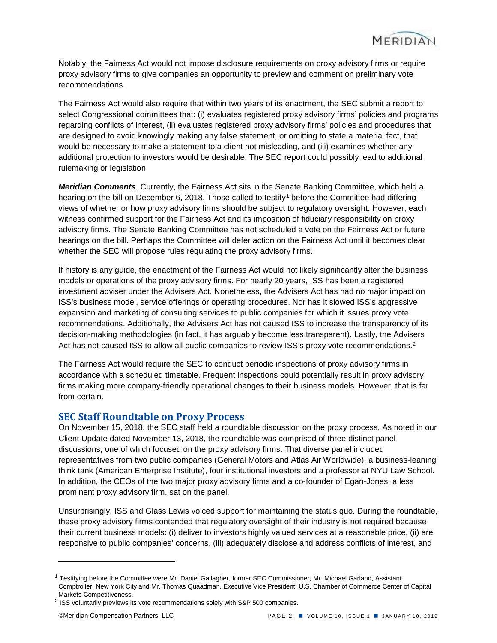

Notably, the Fairness Act would not impose disclosure requirements on proxy advisory firms or require proxy advisory firms to give companies an opportunity to preview and comment on preliminary vote recommendations.

The Fairness Act would also require that within two years of its enactment, the SEC submit a report to select Congressional committees that: (i) evaluates registered proxy advisory firms' policies and programs regarding conflicts of interest, (ii) evaluates registered proxy advisory firms' policies and procedures that are designed to avoid knowingly making any false statement, or omitting to state a material fact, that would be necessary to make a statement to a client not misleading, and (iii) examines whether any additional protection to investors would be desirable. The SEC report could possibly lead to additional rulemaking or legislation.

**Meridian Comments**. Currently, the Fairness Act sits in the Senate Banking Committee, which held a hearing on the bill on December 6, 20[1](#page-0-0)8. Those called to testify<sup>1</sup> before the Committee had differing views of whether or how proxy advisory firms should be subject to regulatory oversight. However, each witness confirmed support for the Fairness Act and its imposition of fiduciary responsibility on proxy advisory firms. The Senate Banking Committee has not scheduled a vote on the Fairness Act or future hearings on the bill. Perhaps the Committee will defer action on the Fairness Act until it becomes clear whether the SEC will propose rules regulating the proxy advisory firms.

If history is any guide, the enactment of the Fairness Act would not likely significantly alter the business models or operations of the proxy advisory firms. For nearly 20 years, ISS has been a registered investment adviser under the Advisers Act. Nonetheless, the Advisers Act has had no major impact on ISS's business model, service offerings or operating procedures. Nor has it slowed ISS's aggressive expansion and marketing of consulting services to public companies for which it issues proxy vote recommendations. Additionally, the Advisers Act has not caused ISS to increase the transparency of its decision-making methodologies (in fact, it has arguably become less transparent). Lastly, the Advisers Act has not caused ISS to allow all public companies to review ISS's proxy vote recommendations.<sup>[2](#page-1-0)</sup>

The Fairness Act would require the SEC to conduct periodic inspections of proxy advisory firms in accordance with a scheduled timetable. Frequent inspections could potentially result in proxy advisory firms making more company-friendly operational changes to their business models. However, that is far from certain.

#### **SEC Staff Roundtable on Proxy Process**

On November 15, 2018, the SEC staff held a roundtable discussion on the proxy process. As noted in our Client Update dated November 13, 2018, the roundtable was comprised of three distinct panel discussions, one of which focused on the proxy advisory firms. That diverse panel included representatives from two public companies (General Motors and Atlas Air Worldwide), a business-leaning think tank (American Enterprise Institute), four institutional investors and a professor at NYU Law School. In addition, the CEOs of the two major proxy advisory firms and a co-founder of Egan-Jones, a less prominent proxy advisory firm, sat on the panel.

Unsurprisingly, ISS and Glass Lewis voiced support for maintaining the status quo. During the roundtable, these proxy advisory firms contended that regulatory oversight of their industry is not required because their current business models: (i) deliver to investors highly valued services at a reasonable price, (ii) are responsive to public companies' concerns, (iii) adequately disclose and address conflicts of interest, and

l

<sup>1</sup> Testifying before the Committee were Mr. Daniel Gallagher, former SEC Commissioner, Mr. Michael Garland, Assistant Comptroller, New York City and Mr. Thomas Quaadman, Executive Vice President, U.S. Chamber of Commerce Center of Capital Markets Competitiveness.

<span id="page-1-0"></span> $2$  ISS voluntarily previews its vote recommendations solely with S&P 500 companies.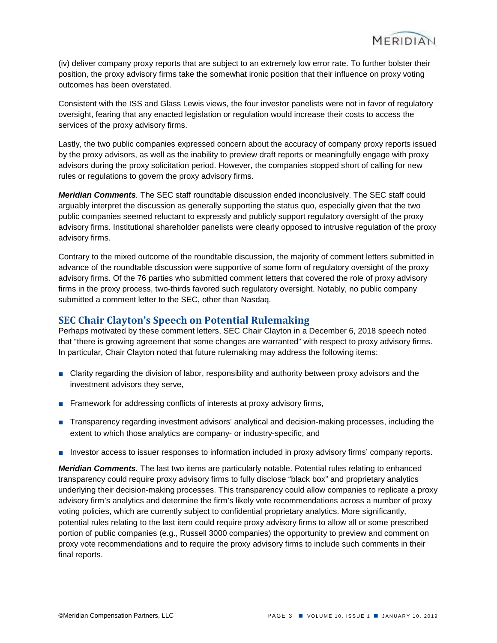

(iv) deliver company proxy reports that are subject to an extremely low error rate. To further bolster their position, the proxy advisory firms take the somewhat ironic position that their influence on proxy voting outcomes has been overstated.

Consistent with the ISS and Glass Lewis views, the four investor panelists were not in favor of regulatory oversight, fearing that any enacted legislation or regulation would increase their costs to access the services of the proxy advisory firms.

Lastly, the two public companies expressed concern about the accuracy of company proxy reports issued by the proxy advisors, as well as the inability to preview draft reports or meaningfully engage with proxy advisors during the proxy solicitation period. However, the companies stopped short of calling for new rules or regulations to govern the proxy advisory firms.

**Meridian Comments**. The SEC staff roundtable discussion ended inconclusively. The SEC staff could arguably interpret the discussion as generally supporting the status quo, especially given that the two public companies seemed reluctant to expressly and publicly support regulatory oversight of the proxy advisory firms. Institutional shareholder panelists were clearly opposed to intrusive regulation of the proxy advisory firms.

Contrary to the mixed outcome of the roundtable discussion, the majority of comment letters submitted in advance of the roundtable discussion were supportive of some form of regulatory oversight of the proxy advisory firms. Of the 76 parties who submitted comment letters that covered the role of proxy advisory firms in the proxy process, two-thirds favored such regulatory oversight. Notably, no public company submitted a comment letter to the SEC, other than Nasdaq.

#### **SEC Chair Clayton's Speech on Potential Rulemaking**

Perhaps motivated by these comment letters, SEC Chair Clayton in a December 6, 2018 speech noted that "there is growing agreement that some changes are warranted" with respect to proxy advisory firms. In particular, Chair Clayton noted that future rulemaking may address the following items:

- Clarity regarding the division of labor, responsibility and authority between proxy advisors and the investment advisors they serve,
- Framework for addressing conflicts of interests at proxy advisory firms,
- Transparency regarding investment advisors' analytical and decision-making processes, including the extent to which those analytics are company- or industry-specific, and
- Investor access to issuer responses to information included in proxy advisory firms' company reports.

**Meridian Comments**. The last two items are particularly notable. Potential rules relating to enhanced transparency could require proxy advisory firms to fully disclose "black box" and proprietary analytics underlying their decision-making processes. This transparency could allow companies to replicate a proxy advisory firm's analytics and determine the firm's likely vote recommendations across a number of proxy voting policies, which are currently subject to confidential proprietary analytics. More significantly, potential rules relating to the last item could require proxy advisory firms to allow all or some prescribed portion of public companies (e.g., Russell 3000 companies) the opportunity to preview and comment on proxy vote recommendations and to require the proxy advisory firms to include such comments in their final reports.